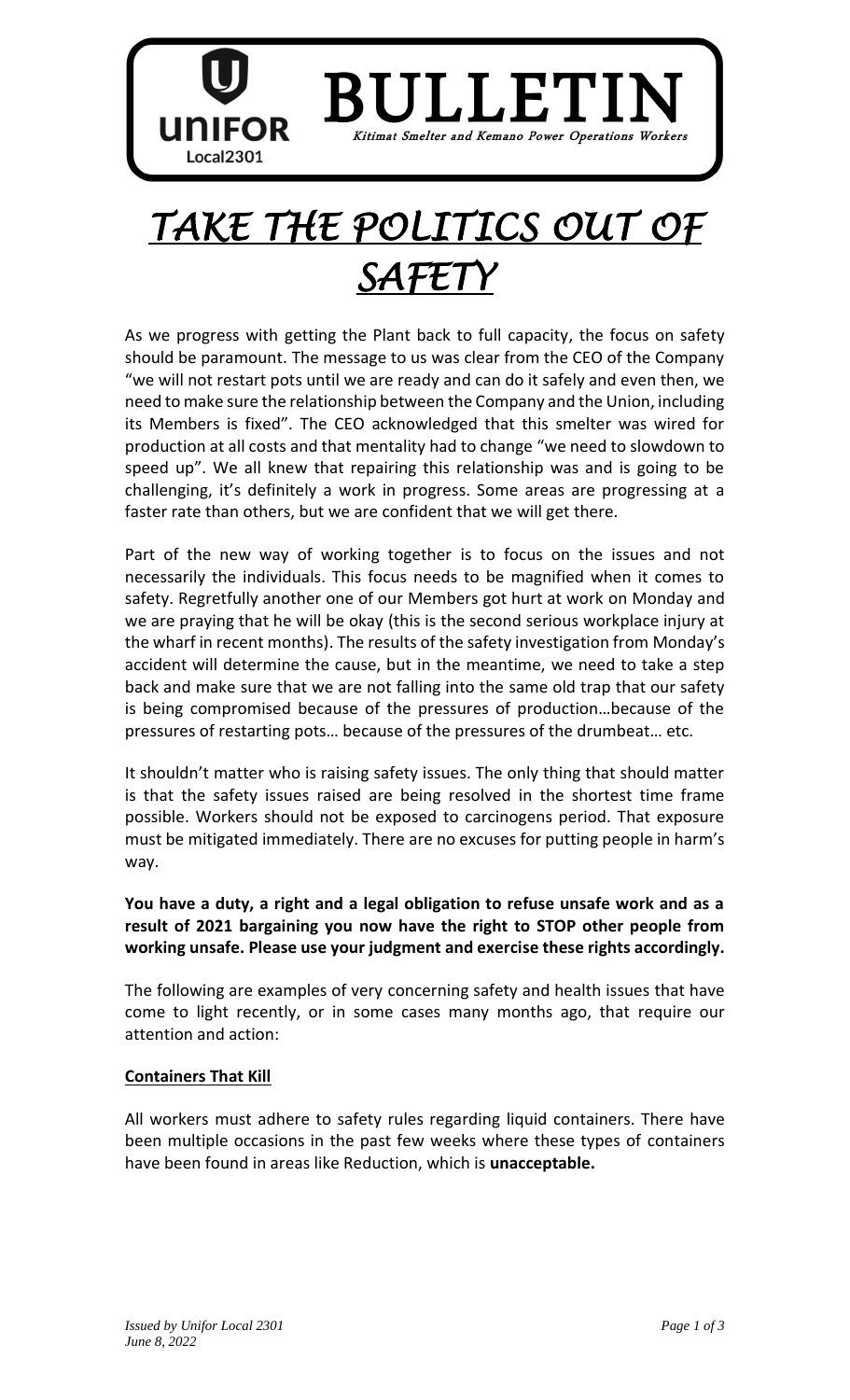

# *TAKE THE POLITICS OUT OF SAFETY*

As we progress with getting the Plant back to full capacity, the focus on safety should be paramount. The message to us was clear from the CEO of the Company "we will not restart pots until we are ready and can do it safely and even then, we need to make sure the relationship between the Company and the Union, including its Members is fixed". The CEO acknowledged that this smelter was wired for production at all costs and that mentality had to change "we need to slowdown to speed up". We all knew that repairing this relationship was and is going to be challenging, it's definitely a work in progress. Some areas are progressing at a faster rate than others, but we are confident that we will get there.

Part of the new way of working together is to focus on the issues and not necessarily the individuals. This focus needs to be magnified when it comes to safety. Regretfully another one of our Members got hurt at work on Monday and we are praying that he will be okay (this is the second serious workplace injury at the wharf in recent months). The results of the safety investigation from Monday's accident will determine the cause, but in the meantime, we need to take a step back and make sure that we are not falling into the same old trap that our safety is being compromised because of the pressures of production…because of the pressures of restarting pots… because of the pressures of the drumbeat… etc.

It shouldn't matter who is raising safety issues. The only thing that should matter is that the safety issues raised are being resolved in the shortest time frame possible. Workers should not be exposed to carcinogens period. That exposure must be mitigated immediately. There are no excuses for putting people in harm's way.

# **You have a duty, a right and a legal obligation to refuse unsafe work and as a result of 2021 bargaining you now have the right to STOP other people from working unsafe. Please use your judgment and exercise these rights accordingly.**

The following are examples of very concerning safety and health issues that have come to light recently, or in some cases many months ago, that require our attention and action:

# **Containers That Kill**

All workers must adhere to safety rules regarding liquid containers. There have been multiple occasions in the past few weeks where these types of containers have been found in areas like Reduction, which is **unacceptable.**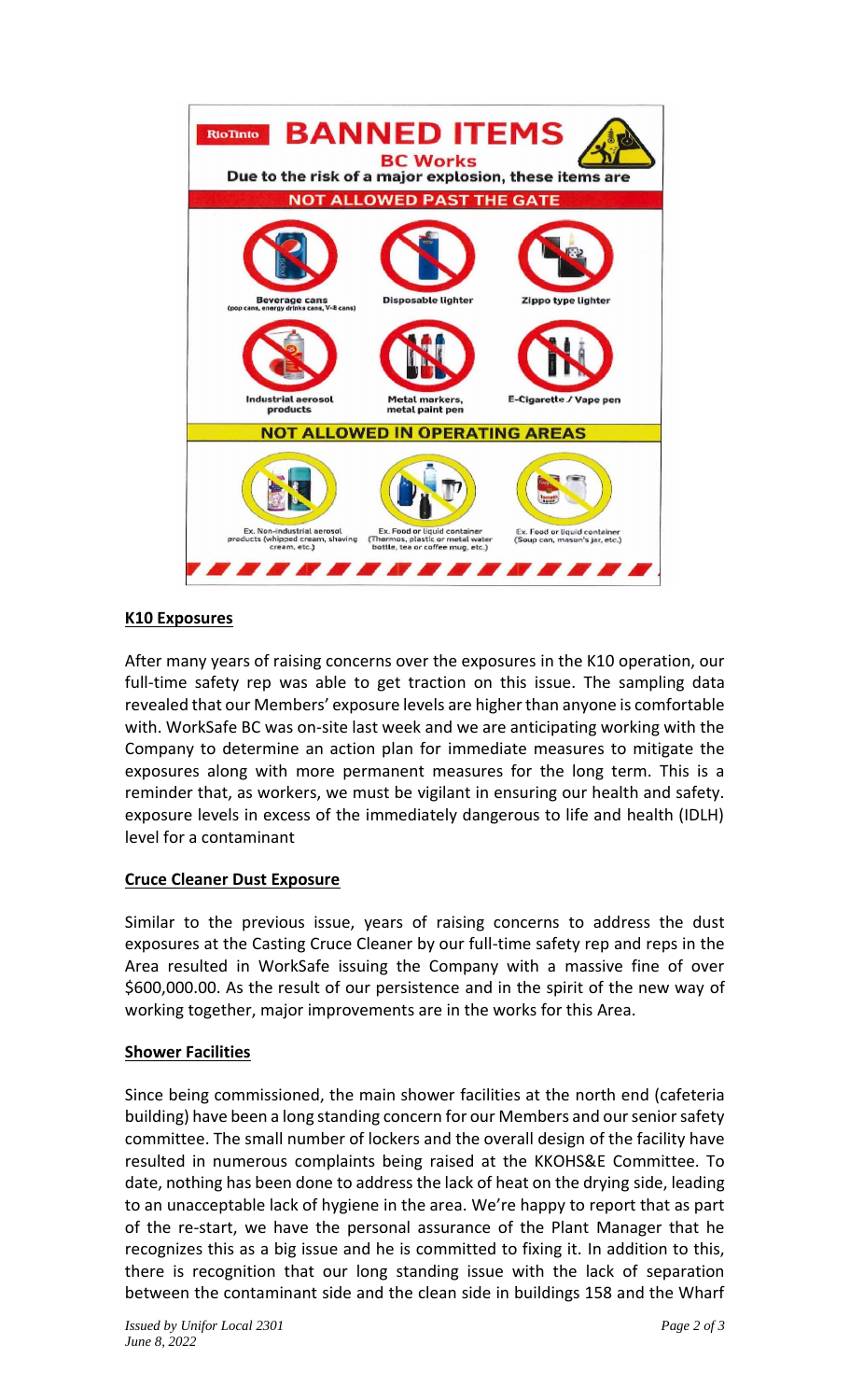

### **K10 Exposures**

After many years of raising concerns over the exposures in the K10 operation, our full-time safety rep was able to get traction on this issue. The sampling data revealed that our Members' exposure levels are higher than anyone is comfortable with. WorkSafe BC was on-site last week and we are anticipating working with the Company to determine an action plan for immediate measures to mitigate the exposures along with more permanent measures for the long term. This is a reminder that, as workers, we must be vigilant in ensuring our health and safety. exposure levels in excess of the immediately dangerous to life and health (IDLH) level for a contaminant

# **Cruce Cleaner Dust Exposure**

Similar to the previous issue, years of raising concerns to address the dust exposures at the Casting Cruce Cleaner by our full-time safety rep and reps in the Area resulted in WorkSafe issuing the Company with a massive fine of over \$600,000.00. As the result of our persistence and in the spirit of the new way of working together, major improvements are in the works for this Area.

#### **Shower Facilities**

Since being commissioned, the main shower facilities at the north end (cafeteria building) have been a long standing concern for our Members and our senior safety committee. The small number of lockers and the overall design of the facility have resulted in numerous complaints being raised at the KKOHS&E Committee. To date, nothing has been done to address the lack of heat on the drying side, leading to an unacceptable lack of hygiene in the area. We're happy to report that as part of the re-start, we have the personal assurance of the Plant Manager that he recognizes this as a big issue and he is committed to fixing it. In addition to this, there is recognition that our long standing issue with the lack of separation between the contaminant side and the clean side in buildings 158 and the Wharf